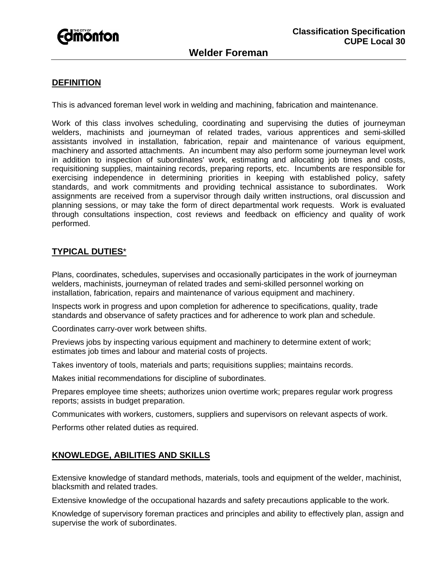

### **DEFINITION**

This is advanced foreman level work in welding and machining, fabrication and maintenance.

Work of this class involves scheduling, coordinating and supervising the duties of journeyman welders, machinists and journeyman of related trades, various apprentices and semi-skilled assistants involved in installation, fabrication, repair and maintenance of various equipment, machinery and assorted attachments. An incumbent may also perform some journeyman level work in addition to inspection of subordinates' work, estimating and allocating job times and costs, requisitioning supplies, maintaining records, preparing reports, etc. Incumbents are responsible for exercising independence in determining priorities in keeping with established policy, safety standards, and work commitments and providing technical assistance to subordinates. Work assignments are received from a supervisor through daily written instructions, oral discussion and planning sessions, or may take the form of direct departmental work requests. Work is evaluated through consultations inspection, cost reviews and feedback on efficiency and quality of work performed.

# **TYPICAL DUTIES**\*

Plans, coordinates, schedules, supervises and occasionally participates in the work of journeyman welders, machinists, journeyman of related trades and semi-skilled personnel working on installation, fabrication, repairs and maintenance of various equipment and machinery.

Inspects work in progress and upon completion for adherence to specifications, quality, trade standards and observance of safety practices and for adherence to work plan and schedule.

Coordinates carry-over work between shifts.

Previews jobs by inspecting various equipment and machinery to determine extent of work; estimates job times and labour and material costs of projects.

Takes inventory of tools, materials and parts; requisitions supplies; maintains records.

Makes initial recommendations for discipline of subordinates.

Prepares employee time sheets; authorizes union overtime work; prepares regular work progress reports; assists in budget preparation.

Communicates with workers, customers, suppliers and supervisors on relevant aspects of work.

Performs other related duties as required.

### **KNOWLEDGE, ABILITIES AND SKILLS**

Extensive knowledge of standard methods, materials, tools and equipment of the welder, machinist, blacksmith and related trades.

Extensive knowledge of the occupational hazards and safety precautions applicable to the work.

Knowledge of supervisory foreman practices and principles and ability to effectively plan, assign and supervise the work of subordinates.